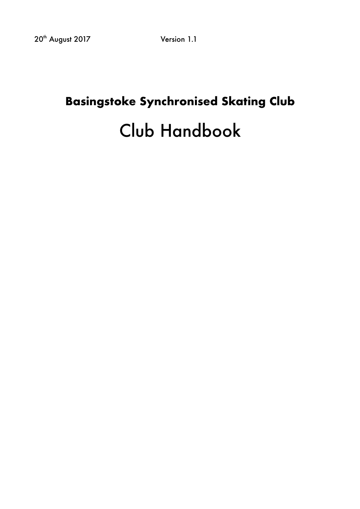# **Basingstoke Synchronised Skating Club** Club Handbook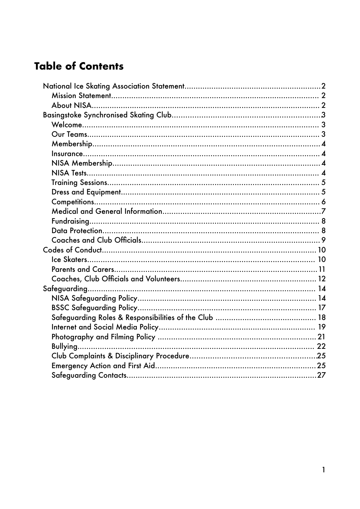# **Table of Contents**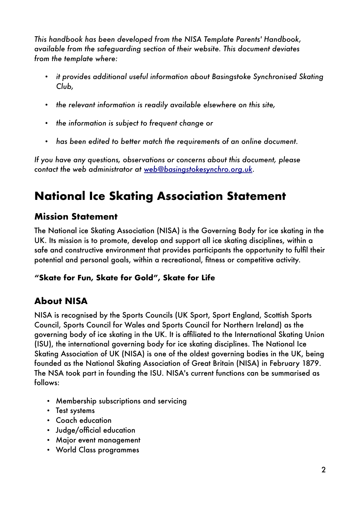*This handbook has been developed from the NISA Template Parents' Handbook, available from the safeguarding section of their website. This document deviates from the template where:* 

- *it provides additional useful information about Basingstoke Synchronised Skating Club,*
- *the relevant information is readily available elsewhere on this site,*
- *the information is subject to frequent change or*
- *has been edited to better match the requirements of an online document.*

*If you have any questions, observations or concerns about this document, please contact the web administrator at [web@basingstokesynchro.org.uk.](mailto:web@basingstokesynchro.org.uk)* 

# <span id="page-2-0"></span>**National Ice Skating Association Statement**

# <span id="page-2-1"></span>**Mission Statement**

The National ice Skating Association (NISA) is the Governing Body for ice skating in the UK. Its mission is to promote, develop and support all ice skating disciplines, within a safe and constructive environment that provides participants the opportunity to fulfil their potential and personal goals, within a recreational, fitness or competitive activity.

#### **"Skate for Fun, Skate for Gold", Skate for Life**

# <span id="page-2-2"></span>**About NISA**

NISA is recognised by the Sports Councils (UK Sport, Sport England, Scottish Sports Council, Sports Council for Wales and Sports Council for Northern Ireland) as the governing body of ice skating in the UK. It is affiliated to the International Skating Union (ISU), the international governing body for ice skating disciplines. The National Ice Skating Association of UK (NISA) is one of the oldest governing bodies in the UK, being founded as the National Skating Association of Great Britain (NISA) in February 1879. The NSA took part in founding the ISU. NISA's current functions can be summarised as follows:

- Membership subscriptions and servicing
- Test systems
- Coach education
- Judge/official education
- Major event management
- World Class programmes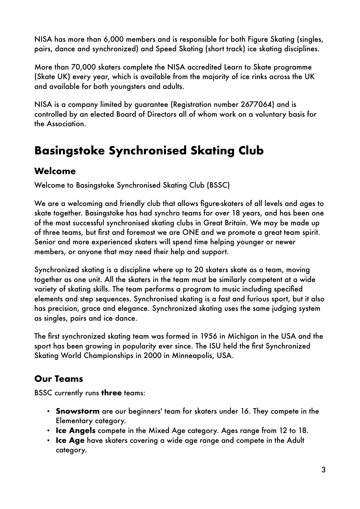NISA has more than 6,000 members and is responsible for both Figure Skating (singles, pairs, dance and synchronized) and Speed Skating (short track) ice skating disciplines.

More than 70,000 skaters complete the NISA accredited Learn to Skate programme (Skate UK) every year, which is available from the majority of ice rinks across the UK and available for both youngsters and adults.

NISA is a company limited by guarantee (Registration number 2677064) and is controlled by an elected Board of Directors all of whom work on a voluntary basis for the Association.

# <span id="page-3-0"></span>**Basingstoke Synchronised Skating Club**

## <span id="page-3-1"></span>**Welcome**

Welcome to Basingstoke Synchronised Skating Club (BSSC)

We are a welcoming and friendly club that allows figure-skaters of all levels and ages to skate together. Basingstoke has had synchro teams for over 18 years, and has been one of the most successful synchronised skating clubs in Great Britain. We may be made up of three teams, but first and foremost we are ONE and we promote a great team spirit. Senior and more experienced skaters will spend time helping younger or newer members, or anyone that may need their help and support.

Synchronized skating is a discipline where up to 20 skaters skate as a team, moving together as one unit. All the skaters in the team must be similarly competent at a wide variety of skating skills. The team performs a program to music including specified elements and step sequences. Synchronised skating is a fast and furious sport, but it also has precision, grace and elegance. Synchronized skating uses the same judging system as singles, pairs and ice dance.

The first synchronized skating team was formed in 1956 in Michigan in the USA and the sport has been growing in popularity ever since. The ISU held the first Synchronized Skating World Championships in 2000 in Minneapolis, USA.

# <span id="page-3-2"></span>**Our Teams**

BSSC currently runs **three** teams:

- **Snowstorm** are our beginners' team for skaters under 16. They compete in the Elementary category.
- **Ice Angels** compete in the Mixed Age category. Ages range from 12 to 18.
- **Ice Age** have skaters covering a wide age range and compete in the Adult category.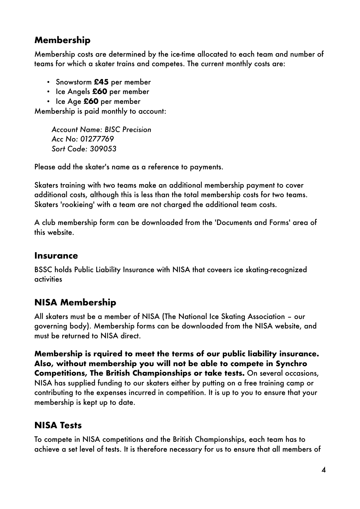# <span id="page-4-0"></span>**Membership**

Membership costs are determined by the ice-time allocated to each team and number of teams for which a skater trains and competes. The current monthly costs are:

- Snowstorm **£45** per member
- Ice Angels **£60** per member
- Ice Age **£60** per member

Membership is paid monthly to account:

*Account Name: BISC Precision Acc No: 01277769 Sort Code: 309053*

Please add the skater's name as a reference to payments.

Skaters training with two teams make an additional membership payment to cover additional costs, although this is less than the total membership costs for two teams. Skaters 'rookieing' with a team are not charged the additional team costs.

A club membership form can be downloaded from the 'Documents and Forms' area of this website.

#### <span id="page-4-1"></span>**Insurance**

BSSC holds Public Liability Insurance with NISA that coveers ice skating-recognized activities

# <span id="page-4-2"></span>**NISA Membership**

All skaters must be a member of NISA (The National Ice Skating Association – our governing body). Membership forms can be downloaded from the NISA website, and must be returned to NISA direct.

**Membership is rquired to meet the terms of our public liability insurance. Also, without membership you will not be able to compete in Synchro Competitions, The British Championships or take tests.** On several occasions, NISA has supplied funding to our skaters either by putting on a free training camp or contributing to the expenses incurred in competition. It is up to you to ensure that your membership is kept up to date.

# <span id="page-4-3"></span>**NISA Tests**

To compete in NISA competitions and the British Championships, each team has to achieve a set level of tests. It is therefore necessary for us to ensure that all members of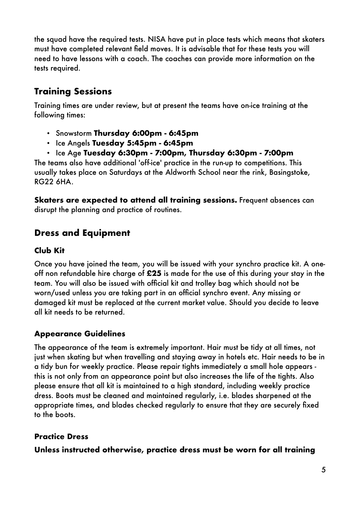the squad have the required tests. NISA have put in place tests which means that skaters must have completed relevant field moves. It is advisable that for these tests you will need to have lessons with a coach. The coaches can provide more information on the tests required.

# <span id="page-5-0"></span>**Training Sessions**

Training times are under review, but at present the teams have on-ice training at the following times:

- Snowstorm **Thursday 6:00pm 6:45pm**
- Ice Angels **Tuesday 5:45pm 6:45pm**
- Ice Age **Tuesday 6:30pm 7:00pm, Thursday 6:30pm 7:00pm**

The teams also have additional 'off-ice' practice in the run-up to competitions. This usually takes place on Saturdays at the Aldworth School near the rink, Basingstoke, RG22 6HA.

**Skaters are expected to attend all training sessions.** Frequent absences can disrupt the planning and practice of routines.

# <span id="page-5-1"></span>**Dress and Equipment**

#### **Club Kit**

Once you have joined the team, you will be issued with your synchro practice kit. A oneoff non refundable hire charge of **£25** is made for the use of this during your stay in the team. You will also be issued with official kit and trolley bag which should not be worn/used unless you are taking part in an official synchro event. Any missing or damaged kit must be replaced at the current market value. Should you decide to leave all kit needs to be returned.

### **Appearance Guidelines**

The appearance of the team is extremely important. Hair must be tidy at all times, not just when skating but when travelling and staying away in hotels etc. Hair needs to be in a tidy bun for weekly practice. Please repair tights immediately a small hole appears this is not only from an appearance point but also increases the life of the tights. Also please ensure that all kit is maintained to a high standard, including weekly practice dress. Boots must be cleaned and maintained regularly, i.e. blades sharpened at the appropriate times, and blades checked regularly to ensure that they are securely fixed to the boots.

### **Practice Dress**

**Unless instructed otherwise, practice dress must be worn for all training**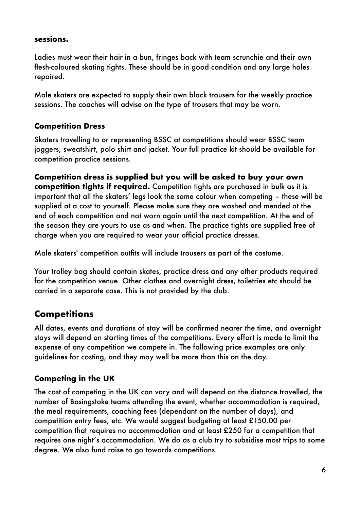#### **sessions.**

Ladies must wear their hair in a bun, fringes back with team scrunchie and their own flesh-coloured skating tights. These should be in good condition and any large holes repaired.

Male skaters are expected to supply their own black trousers for the weekly practice sessions. The coaches will advise on the type of trousers that may be worn.

#### **Competition Dress**

Skaters travelling to or representing BSSC at competitions should wear BSSC team joggers, sweatshirt, polo shirt and jacket. Your full practice kit should be available for competition practice sessions.

**Competition dress is supplied but you will be asked to buy your own competition tights if required.** Competition tights are purchased in bulk as it is important that all the skaters' legs look the same colour when competing – these will be supplied at a cost to yourself. Please make sure they are washed and mended at the end of each competition and not worn again until the next competition. At the end of the season they are yours to use as and when. The practice tights are supplied free of charge when you are required to wear your official practice dresses.

Male skaters' competition outfits will include trousers as part of the costume.

Your trolley bag should contain skates, practice dress and any other products required for the competition venue. Other clothes and overnight dress, toiletries etc should be carried in a separate case. This is not provided by the club.

# <span id="page-6-0"></span>**Competitions**

All dates, events and durations of stay will be confirmed nearer the time, and overnight stays will depend on starting times of the competitions. Every effort is made to limit the expense of any competition we compete in. The following price examples are only guidelines for costing, and they may well be more than this on the day.

#### **Competing in the UK**

The cost of competing in the UK can vary and will depend on the distance travelled, the number of Basingstoke teams attending the event, whether accommodation is required, the meal requirements, coaching fees (dependant on the number of days), and competition entry fees, etc. We would suggest budgeting at least £150.00 per competition that requires no accommodation and at least £250 for a competition that requires one night's accommodation. We do as a club try to subsidise most trips to some degree. We also fund raise to go towards competitions.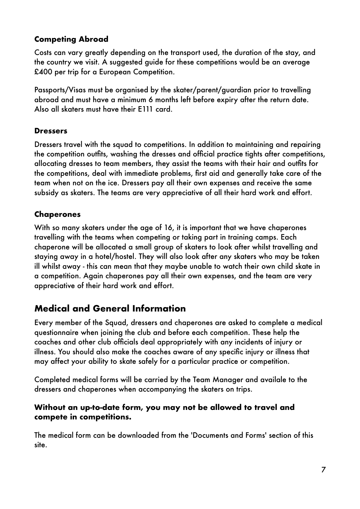#### **Competing Abroad**

Costs can vary greatly depending on the transport used, the duration of the stay, and the country we visit. A suggested guide for these competitions would be an average £400 per trip for a European Competition.

Passports/Visas must be organised by the skater/parent/guardian prior to travelling abroad and must have a minimum 6 months left before expiry after the return date. Also all skaters must have their E111 card.

#### **Dressers**

Dressers travel with the squad to competitions. In addition to maintaining and repairing the competition outfits, washing the dresses and official practice tights after competitions, allocating dresses to team members, they assist the teams with their hair and outfits for the competitions, deal with immediate problems, first aid and generally take care of the team when not on the ice. Dressers pay all their own expenses and receive the same subsidy as skaters. The teams are very appreciative of all their hard work and effort.

#### **Chaperones**

With so many skaters under the age of 16, it is important that we have chaperones travelling with the teams when competing or taking part in training camps. Each chaperone will be allocated a small group of skaters to look after whilst travelling and staying away in a hotel/hostel. They will also look after any skaters who may be taken ill whilst away - this can mean that they maybe unable to watch their own child skate in a competition. Again chaperones pay all their own expenses, and the team are very appreciative of their hard work and effort.

### <span id="page-7-0"></span>**Medical and General Information**

Every member of the Squad, dressers and chaperones are asked to complete a medical questionnaire when joining the club and before each competition. These help the coaches and other club officials deal appropriately with any incidents of injury or illness. You should also make the coaches aware of any specific injury or illness that may affect your ability to skate safely for a particular practice or competition.

Completed medical forms will be carried by the Team Manager and availale to the dressers and chaperones when accompanying the skaters on trips.

#### **Without an up-to-date form, you may not be allowed to travel and compete in competitions.**

The medical form can be downloaded from the 'Documents and Forms' section of this site.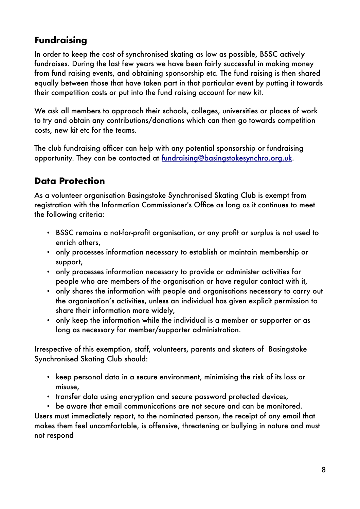# <span id="page-8-0"></span>**Fundraising**

In order to keep the cost of synchronised skating as low as possible, BSSC actively fundraises. During the last few years we have been fairly successful in making money from fund raising events, and obtaining sponsorship etc. The fund raising is then shared equally between those that have taken part in that particular event by putting it towards their competition costs or put into the fund raising account for new kit.

We ask all members to approach their schools, colleges, universities or places of work to try and obtain any contributions/donations which can then go towards competition costs, new kit etc for the teams.

The club fundraising officer can help with any potential sponsorship or fundraising opportunity. They can be contacted at [fundraising@basingstokesynchro.org.uk.](mailto:fundraising@basingstokesynchro.org.uk)

# <span id="page-8-1"></span>**Data Protection**

As a volunteer organisation Basingstoke Synchronised Skating Club is exempt from registration with the Information Commissioner's Office as long as it continues to meet the following criteria:

- BSSC remains a not-for-profit organisation, or any profit or surplus is not used to enrich others,
- only processes information necessary to establish or maintain membership or support,
- only processes information necessary to provide or administer activities for people who are members of the organisation or have regular contact with it,
- only shares the information with people and organisations necessary to carry out the organisation's activities, unless an individual has given explicit permission to share their information more widely,
- only keep the information while the individual is a member or supporter or as long as necessary for member/supporter administration.

Irrespective of this exemption, staff, volunteers, parents and skaters of Basingstoke Synchronised Skating Club should:

- keep personal data in a secure environment, minimising the risk of its loss or misuse,
- transfer data using encryption and secure password protected devices,
- be aware that email communications are not secure and can be monitored.

Users must immediately report, to the nominated person, the receipt of any email that makes them feel uncomfortable, is offensive, threatening or bullying in nature and must not respond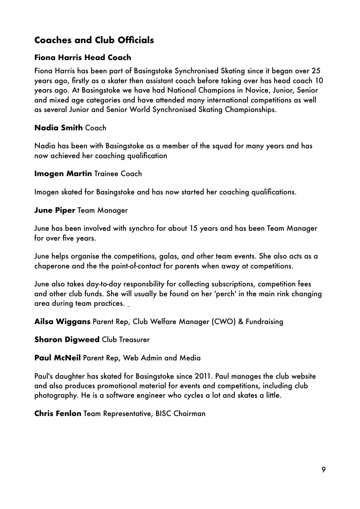# <span id="page-9-0"></span>**Coaches and Club Officials**

#### **Fiona Harris Head Coach**

Fiona Harris has been part of Basingstoke Synchronised Skating since it began over 25 years ago, firstly as a skater then assistant coach before taking over has head coach 10 years ago. At Basingstoke we have had National Champions in Novice, Junior, Senior and mixed age categories and have attended many international competitions as well as several Junior and Senior World Synchronised Skating Championships.

#### **Nadia Smith** Coach

Nadia has been with Basingstoke as a member of the squad for many years and has now achieved her coaching qualification

#### **Imogen Martin** Trainee Coach

Imogen skated for Basingstoke and has now started her coaching qualifications.

#### **June Piper** Team Manager

June has been involved with synchro for about 15 years and has been Team Manager for over five years.

June helps organise the competitions, galas, and other team events. She also acts as a chaperone and the the point-of-contact for parents when away at competitions.

June also takes day-to-day responsbility for collecting subscriptions, competition fees and other club funds. She will usually be found on her 'perch' in the main rink changing area during team practices.

**Ailsa Wiggans** Parent Rep, Club Welfare Manager (CWO) & Fundraising

#### **Sharon Digweed Club Treasurer**

#### **Paul McNeil** Parent Rep, Web Admin and Media

Paul's daughter has skated for Basingstoke since 2011. Paul manages the club website and also produces promotional material for events and competitions, including club photography. He is a software engineer who cycles a lot and skates a little.

#### **Chris Fenlon** Team Representative, BISC Chairman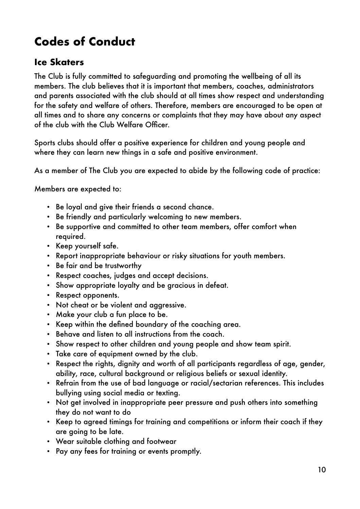# <span id="page-10-0"></span>**Codes of Conduct**

## <span id="page-10-1"></span>**Ice Skaters**

The Club is fully committed to safeguarding and promoting the wellbeing of all its members. The club believes that it is important that members, coaches, administrators and parents associated with the club should at all times show respect and understanding for the safety and welfare of others. Therefore, members are encouraged to be open at all times and to share any concerns or complaints that they may have about any aspect of the club with the Club Welfare Officer.

Sports clubs should offer a positive experience for children and young people and where they can learn new things in a safe and positive environment.

As a member of The Club you are expected to abide by the following code of practice:

Members are expected to:

- Be loyal and give their friends a second chance.
- Be friendly and particularly welcoming to new members.
- Be supportive and committed to other team members, offer comfort when required.
- Keep yourself safe.
- Report inappropriate behaviour or risky situations for youth members.
- Be fair and be trustworthy
- Respect coaches, judges and accept decisions.
- Show appropriate loyalty and be gracious in defeat.
- Respect opponents.
- Not cheat or be violent and aggressive.
- Make your club a fun place to be.
- Keep within the defined boundary of the coaching area.
- Behave and listen to all instructions from the coach.
- Show respect to other children and young people and show team spirit.
- Take care of equipment owned by the club.
- Respect the rights, dignity and worth of all participants regardless of age, gender, ability, race, cultural background or religious beliefs or sexual identity.
- Refrain from the use of bad language or racial/sectarian references. This includes bullying using social media or texting.
- Not get involved in inappropriate peer pressure and push others into something they do not want to do
- Keep to agreed timings for training and competitions or inform their coach if they are going to be late.
- Wear suitable clothing and footwear
- Pay any fees for training or events promptly.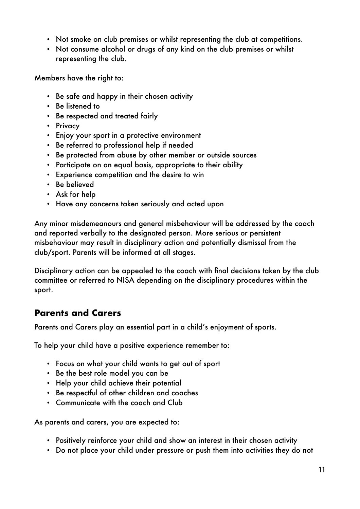- Not smoke on club premises or whilst representing the club at competitions.
- Not consume alcohol or drugs of any kind on the club premises or whilst representing the club.

Members have the right to:

- Be safe and happy in their chosen activity
- Be listened to
- Be respected and treated fairly
- Privacy
- Enjoy your sport in a protective environment
- Be referred to professional help if needed
- Be protected from abuse by other member or outside sources
- Participate on an equal basis, appropriate to their ability
- Experience competition and the desire to win
- Be believed
- Ask for help
- Have any concerns taken seriously and acted upon

Any minor misdemeanours and general misbehaviour will be addressed by the coach and reported verbally to the designated person. More serious or persistent misbehaviour may result in disciplinary action and potentially dismissal from the club/sport. Parents will be informed at all stages.

Disciplinary action can be appealed to the coach with final decisions taken by the club committee or referred to NISA depending on the disciplinary procedures within the sport.

#### <span id="page-11-0"></span>**Parents and Carers**

Parents and Carers play an essential part in a child's enjoyment of sports.

To help your child have a positive experience remember to:

- Focus on what your child wants to get out of sport
- Be the best role model you can be
- Help your child achieve their potential
- Be respectful of other children and coaches
- Communicate with the coach and Club

As parents and carers, you are expected to:

- Positively reinforce your child and show an interest in their chosen activity
- Do not place your child under pressure or push them into activities they do not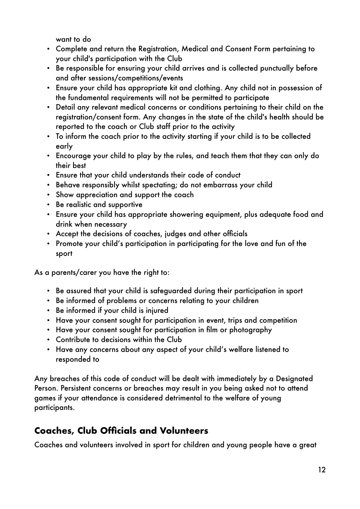want to do

- Complete and return the Registration, Medical and Consent Form pertaining to your child's participation with the Club
- Be responsible for ensuring your child arrives and is collected punctually before and after sessions/competitions/events
- Ensure your child has appropriate kit and clothing. Any child not in possession of the fundamental requirements will not be permitted to participate
- Detail any relevant medical concerns or conditions pertaining to their child on the registration/consent form. Any changes in the state of the child's health should be reported to the coach or Club staff prior to the activity
- To inform the coach prior to the activity starting if your child is to be collected early
- Encourage your child to play by the rules, and teach them that they can only do their best
- Ensure that your child understands their code of conduct
- Behave responsibly whilst spectating; do not embarrass your child
- Show appreciation and support the coach
- Be realistic and supportive
- Ensure your child has appropriate showering equipment, plus adequate food and drink when necessary
- Accept the decisions of coaches, judges and other officials
- Promote your child's participation in participating for the love and fun of the sport

As a parents/carer you have the right to:

- Be assured that your child is safeguarded during their participation in sport
- Be informed of problems or concerns relating to your children
- Be informed if your child is injured
- Have your consent sought for participation in event, trips and competition
- Have your consent sought for participation in film or photography
- Contribute to decisions within the Club
- Have any concerns about any aspect of your child's welfare listened to responded to

Any breaches of this code of conduct will be dealt with immediately by a Designated Person. Persistent concerns or breaches may result in you being asked not to attend games if your attendance is considered detrimental to the welfare of young participants.

# <span id="page-12-0"></span>**Coaches, Club Officials and Volunteers**

Coaches and volunteers involved in sport for children and young people have a great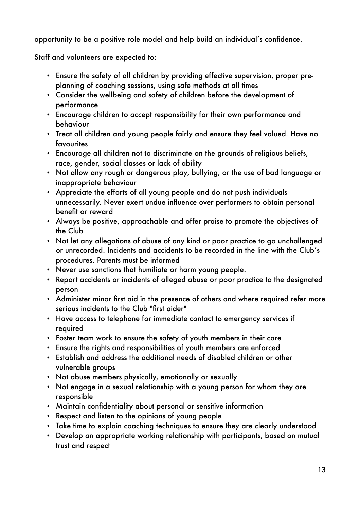opportunity to be a positive role model and help build an individual's confidence.

Staff and volunteers are expected to:

- Ensure the safety of all children by providing effective supervision, proper preplanning of coaching sessions, using safe methods at all times
- Consider the wellbeing and safety of children before the development of performance
- Encourage children to accept responsibility for their own performance and behaviour
- Treat all children and young people fairly and ensure they feel valued. Have no **favourites**
- Encourage all children not to discriminate on the grounds of religious beliefs, race, gender, social classes or lack of ability
- Not allow any rough or dangerous play, bullying, or the use of bad language or inappropriate behaviour
- Appreciate the efforts of all young people and do not push individuals unnecessarily. Never exert undue influence over performers to obtain personal benefit or reward
- Always be positive, approachable and offer praise to promote the objectives of the Club
- Not let any allegations of abuse of any kind or poor practice to go unchallenged or unrecorded. Incidents and accidents to be recorded in the line with the Club's procedures. Parents must be informed
- Never use sanctions that humiliate or harm young people.
- Report accidents or incidents of alleged abuse or poor practice to the designated person
- Administer minor first aid in the presence of others and where required refer more serious incidents to the Club "first aider"
- Have access to telephone for immediate contact to emergency services if required
- Foster team work to ensure the safety of youth members in their care
- Ensure the rights and responsibilities of youth members are enforced
- Establish and address the additional needs of disabled children or other vulnerable groups
- Not abuse members physically, emotionally or sexually
- Not engage in a sexual relationship with a young person for whom they are responsible
- Maintain confidentiality about personal or sensitive information
- Respect and listen to the opinions of young people
- Take time to explain coaching techniques to ensure they are clearly understood
- Develop an appropriate working relationship with participants, based on mutual trust and respect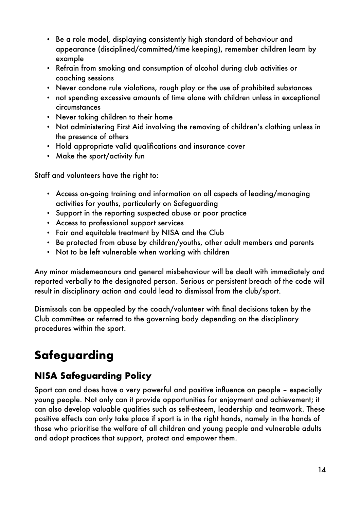- Be a role model, displaying consistently high standard of behaviour and appearance (disciplined/committed/time keeping), remember children learn by example
- Refrain from smoking and consumption of alcohol during club activities or coaching sessions
- Never condone rule violations, rough play or the use of prohibited substances
- not spending excessive amounts of time alone with children unless in exceptional circumstances
- Never taking children to their home
- Not administering First Aid involving the removing of children's clothing unless in the presence of others
- Hold appropriate valid qualifications and insurance cover
- Make the sport/activity fun

Staff and volunteers have the right to:

- Access on-going training and information on all aspects of leading/managing activities for youths, particularly on Safeguarding
- Support in the reporting suspected abuse or poor practice
- Access to professional support services
- Fair and equitable treatment by NISA and the Club
- Be protected from abuse by children/youths, other adult members and parents
- Not to be left vulnerable when working with children

Any minor misdemeanours and general misbehaviour will be dealt with immediately and reported verbally to the designated person. Serious or persistent breach of the code will result in disciplinary action and could lead to dismissal from the club/sport.

Dismissals can be appealed by the coach/volunteer with final decisions taken by the Club committee or referred to the governing body depending on the disciplinary procedures within the sport.

# <span id="page-14-0"></span>**Safeguarding**

# <span id="page-14-1"></span>**NISA Safeguarding Policy**

Sport can and does have a very powerful and positive influence on people – especially young people. Not only can it provide opportunities for enjoyment and achievement; it can also develop valuable qualities such as self-esteem, leadership and teamwork. These positive effects can only take place if sport is in the right hands, namely in the hands of those who prioritise the welfare of all children and young people and vulnerable adults and adopt practices that support, protect and empower them.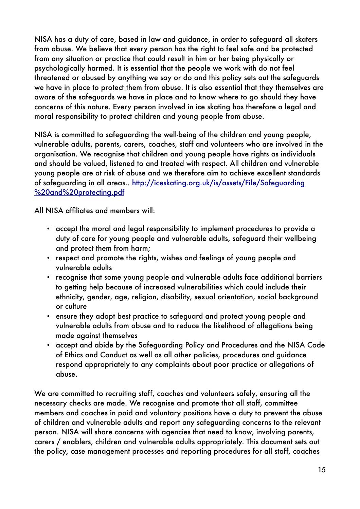NISA has a duty of care, based in law and guidance, in order to safeguard all skaters from abuse. We believe that every person has the right to feel safe and be protected from any situation or practice that could result in him or her being physically or psychologically harmed. It is essential that the people we work with do not feel threatened or abused by anything we say or do and this policy sets out the safeguards we have in place to protect them from abuse. It is also essential that they themselves are aware of the safeguards we have in place and to know where to go should they have concerns of this nature. Every person involved in ice skating has therefore a legal and moral responsibility to protect children and young people from abuse.

NISA is committed to safeguarding the well-being of the children and young people, vulnerable adults, parents, carers, coaches, staff and volunteers who are involved in the organisation. We recognise that children and young people have rights as individuals and should be valued, listened to and treated with respect. All children and vulnerable young people are at risk of abuse and we therefore aim to achieve excellent standards of safeguarding in all areas.. [http://iceskating.org.uk/is/assets/File/Safeguarding](http://iceskating.org.uk/is/assets/File/Safeguarding%2520and%2520protecting.pdf) [%20and%20protecting.pdf](http://iceskating.org.uk/is/assets/File/Safeguarding%2520and%2520protecting.pdf)

All NISA affiliates and members will:

- accept the moral and legal responsibility to implement procedures to provide a duty of care for young people and vulnerable adults, safeguard their wellbeing and protect them from harm;
- respect and promote the rights, wishes and feelings of young people and vulnerable adults
- recognise that some young people and vulnerable adults face additional barriers to getting help because of increased vulnerabilities which could include their ethnicity, gender, age, religion, disability, sexual orientation, social background or culture
- ensure they adopt best practice to safeguard and protect young people and vulnerable adults from abuse and to reduce the likelihood of allegations being made against themselves
- accept and abide by the Safeguarding Policy and Procedures and the NISA Code of Ethics and Conduct as well as all other policies, procedures and guidance respond appropriately to any complaints about poor practice or allegations of abuse.

We are committed to recruiting staff, coaches and volunteers safely, ensuring all the necessary checks are made. We recognise and promote that all staff, committee members and coaches in paid and voluntary positions have a duty to prevent the abuse of children and vulnerable adults and report any safeguarding concerns to the relevant person. NISA will share concerns with agencies that need to know, involving parents, carers / enablers, children and vulnerable adults appropriately. This document sets out the policy, case management processes and reporting procedures for all staff, coaches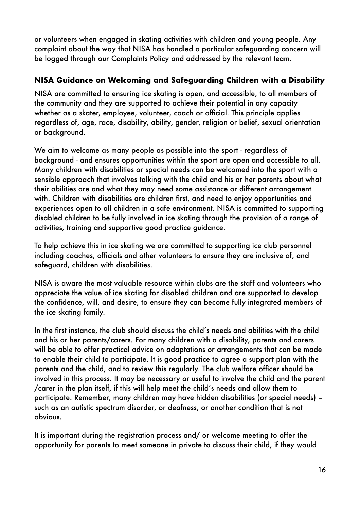or volunteers when engaged in skating activities with children and young people. Any complaint about the way that NISA has handled a particular safeguarding concern will be logged through our Complaints Policy and addressed by the relevant team.

#### **NISA Guidance on Welcoming and Safeguarding Children with a Disability**

NISA are committed to ensuring ice skating is open, and accessible, to all members of the community and they are supported to achieve their potential in any capacity whether as a skater, employee, volunteer, coach or official. This principle applies regardless of, age, race, disability, ability, gender, religion or belief, sexual orientation or background.

We aim to welcome as many people as possible into the sport - regardless of background - and ensures opportunities within the sport are open and accessible to all. Many children with disabilities or special needs can be welcomed into the sport with a sensible approach that involves talking with the child and his or her parents about what their abilities are and what they may need some assistance or different arrangement with. Children with disabilities are children first, and need to enjoy opportunities and experiences open to all children in a safe environment. NISA is committed to supporting disabled children to be fully involved in ice skating through the provision of a range of activities, training and supportive good practice guidance.

To help achieve this in ice skating we are committed to supporting ice club personnel including coaches, officials and other volunteers to ensure they are inclusive of, and safeguard, children with disabilities.

NISA is aware the most valuable resource within clubs are the staff and volunteers who appreciate the value of ice skating for disabled children and are supported to develop the confidence, will, and desire, to ensure they can become fully integrated members of the ice skating family.

In the first instance, the club should discuss the child's needs and abilities with the child and his or her parents/carers. For many children with a disability, parents and carers will be able to offer practical advice on adaptations or arrangements that can be made to enable their child to participate. It is good practice to agree a support plan with the parents and the child, and to review this regularly. The club welfare officer should be involved in this process. It may be necessary or useful to involve the child and the parent /carer in the plan itself, if this will help meet the child's needs and allow them to participate. Remember, many children may have hidden disabilities (or special needs) – such as an autistic spectrum disorder, or deafness, or another condition that is not obvious.

It is important during the registration process and/ or welcome meeting to offer the opportunity for parents to meet someone in private to discuss their child, if they would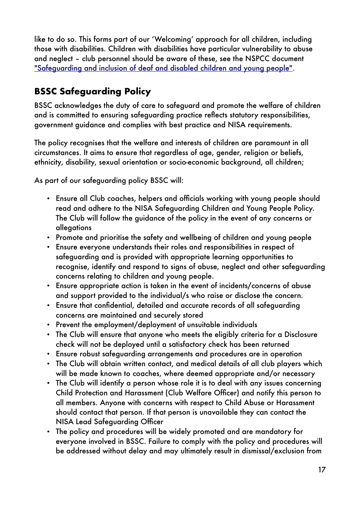like to do so. This forms part of our 'Welcoming' approach for all children, including those with disabilities. Children with disabilities have particular vulnerability to abuse and neglect – club personnel should be aware of these, see the NSPCC document ["Safeguarding and inclusion of deaf and disabled children and young people".](http://www.thecpsu.org.uk/resource-library/2013/safeguarding-deaf-and-disabled-children-and-young-people)

# <span id="page-17-0"></span>**BSSC Safeguarding Policy**

BSSC acknowledges the duty of care to safeguard and promote the welfare of children and is committed to ensuring safeguarding practice reflects statutory responsibilities, government guidance and complies with best practice and NISA requirements.

The policy recognises that the welfare and interests of children are paramount in all circumstances. It aims to ensure that regardless of age, gender, religion or beliefs, ethnicity, disability, sexual orientation or socio-economic background, all children;

As part of our safeguarding policy BSSC will:

- Ensure all Club coaches, helpers and officials working with young people should read and adhere to the NISA Safeguarding Children and Young People Policy. The Club will follow the guidance of the policy in the event of any concerns or allegations
- Promote and prioritise the safety and wellbeing of children and young people
- Ensure everyone understands their roles and responsibilities in respect of safeguarding and is provided with appropriate learning opportunities to recognise, identify and respond to signs of abuse, neglect and other safeguarding concerns relating to children and young people.
- Ensure appropriate action is taken in the event of incidents/concerns of abuse and support provided to the individual/s who raise or disclose the concern.
- Ensure that confidential, detailed and accurate records of all safeguarding concerns are maintained and securely stored
- Prevent the employment/deployment of unsuitable individuals
- The Club will ensure that anyone who meets the eligibly criteria for a Disclosure check will not be deployed until a satisfactory check has been returned
- Ensure robust safeguarding arrangements and procedures are in operation
- The Club will obtain written contact, and medical details of all club players which will be made known to coaches, where deemed appropriate and/or necessary
- The Club will identify a person whose role it is to deal with any issues concerning Child Protection and Harassment (Club Welfare Officer) and notify this person to all members. Anyone with concerns with respect to Child Abuse or Harassment should contact that person. If that person is unavailable they can contact the NISA Lead Safeguarding Officer
- The policy and procedures will be widely promoted and are mandatory for everyone involved in BSSC. Failure to comply with the policy and procedures will be addressed without delay and may ultimately result in dismissal/exclusion from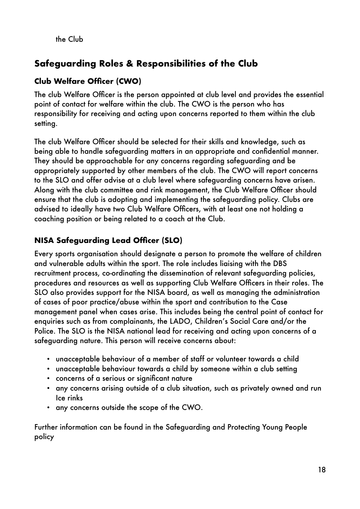the Club

# <span id="page-18-0"></span>**Safeguarding Roles & Responsibilities of the Club**

#### **Club Welfare Officer (CWO)**

The club Welfare Officer is the person appointed at club level and provides the essential point of contact for welfare within the club. The CWO is the person who has responsibility for receiving and acting upon concerns reported to them within the club setting.

The club Welfare Officer should be selected for their skills and knowledge, such as being able to handle safeguarding matters in an appropriate and confidential manner. They should be approachable for any concerns regarding safeguarding and be appropriately supported by other members of the club. The CWO will report concerns to the SLO and offer advise at a club level where safeguarding concerns have arisen. Along with the club committee and rink management, the Club Welfare Officer should ensure that the club is adopting and implementing the safeguarding policy. Clubs are advised to ideally have two Club Welfare Officers, with at least one not holding a coaching position or being related to a coach at the Club.

#### **NISA Safeguarding Lead Officer (SLO)**

Every sports organisation should designate a person to promote the welfare of children and vulnerable adults within the sport. The role includes liaising with the DBS recruitment process, co-ordinating the dissemination of relevant safeguarding policies, procedures and resources as well as supporting Club Welfare Officers in their roles. The SLO also provides support for the NISA board, as well as managing the administration of cases of poor practice/abuse within the sport and contribution to the Case management panel when cases arise. This includes being the central point of contact for enquiries such as from complainants, the LADO, Children's Social Care and/or the Police. The SLO is the NISA national lead for receiving and acting upon concerns of a safeguarding nature. This person will receive concerns about:

- unacceptable behaviour of a member of staff or volunteer towards a child
- unacceptable behaviour towards a child by someone within a club setting
- concerns of a serious or significant nature
- any concerns arising outside of a club situation, such as privately owned and run Ice rinks
- any concerns outside the scope of the CWO.

Further information can be found in the Safeguarding and Protecting Young People policy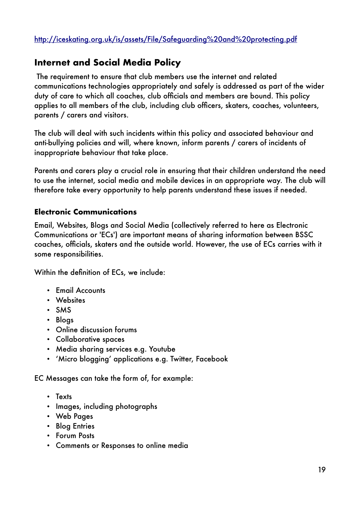### <span id="page-19-0"></span>**Internet and Social Media Policy**

The requirement to ensure that club members use the internet and related communications technologies appropriately and safely is addressed as part of the wider duty of care to which all coaches, club officials and members are bound. This policy applies to all members of the club, including club officers, skaters, coaches, volunteers, parents / carers and visitors.

The club will deal with such incidents within this policy and associated behaviour and anti-bullying policies and will, where known, inform parents / carers of incidents of inappropriate behaviour that take place.

Parents and carers play a crucial role in ensuring that their children understand the need to use the internet, social media and mobile devices in an appropriate way. The club will therefore take every opportunity to help parents understand these issues if needed.

#### **Electronic Communications**

Email, Websites, Blogs and Social Media (collectively referred to here as Electronic Communications or 'ECs') are important means of sharing information between BSSC coaches, officials, skaters and the outside world. However, the use of ECs carries with it some responsibilities.

Within the definition of ECs, we include:

- Email Accounts
- Websites
- SMS
- Blogs
- Online discussion forums
- Collaborative spaces
- Media sharing services e.g. Youtube
- 'Micro blogging' applications e.g. Twitter, Facebook

EC Messages can take the form of, for example:

- Texts
- Images, including photographs
- Web Pages
- Blog Entries
- Forum Posts
- Comments or Responses to online media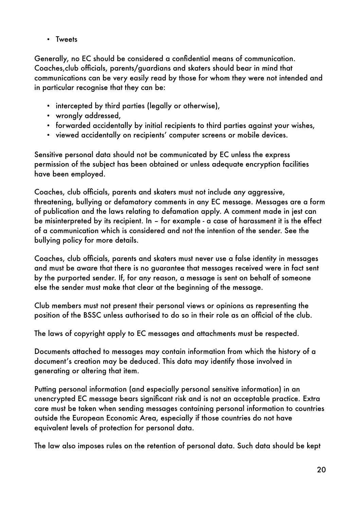• Tweets

Generally, no EC should be considered a confidential means of communication. Coaches,club officials, parents/guardians and skaters should bear in mind that communications can be very easily read by those for whom they were not intended and in particular recognise that they can be:

- intercepted by third parties (legally or otherwise),
- wrongly addressed,
- forwarded accidentally by initial recipients to third parties against your wishes,
- viewed accidentally on recipients' computer screens or mobile devices.

Sensitive personal data should not be communicated by EC unless the express permission of the subject has been obtained or unless adequate encryption facilities have been employed.

Coaches, club officials, parents and skaters must not include any aggressive, threatening, bullying or defamatory comments in any EC message. Messages are a form of publication and the laws relating to defamation apply. A comment made in jest can be misinterpreted by its recipient. In – for example - a case of harassment it is the effect of a communication which is considered and not the intention of the sender. See the bullying policy for more details.

Coaches, club officials, parents and skaters must never use a false identity in messages and must be aware that there is no guarantee that messages received were in fact sent by the purported sender. If, for any reason, a message is sent on behalf of someone else the sender must make that clear at the beginning of the message.

Club members must not present their personal views or opinions as representing the position of the BSSC unless authorised to do so in their role as an official of the club.

The laws of copyright apply to EC messages and attachments must be respected.

Documents attached to messages may contain information from which the history of a document's creation may be deduced. This data may identify those involved in generating or altering that item.

Putting personal information (and especially personal sensitive information) in an unencrypted EC message bears significant risk and is not an acceptable practice. Extra care must be taken when sending messages containing personal information to countries outside the European Economic Area, especially if those countries do not have equivalent levels of protection for personal data.

The law also imposes rules on the retention of personal data. Such data should be kept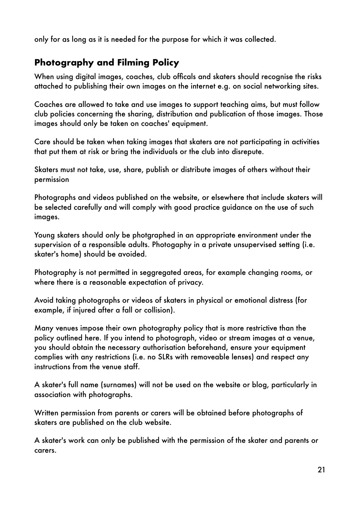only for as long as it is needed for the purpose for which it was collected.

# <span id="page-21-0"></span>**Photography and Filming Policy**

When using digital images, coaches, club officals and skaters should recognise the risks attached to publishing their own images on the internet e.g. on social networking sites.

Coaches are allowed to take and use images to support teaching aims, but must follow club policies concerning the sharing, distribution and publication of those images. Those images should only be taken on coaches' equipment.

Care should be taken when taking images that skaters are not participating in activities that put them at risk or bring the individuals or the club into disrepute.

Skaters must not take, use, share, publish or distribute images of others without their permission

Photographs and videos published on the website, or elsewhere that include skaters will be selected carefully and will comply with good practice guidance on the use of such images.

Young skaters should only be photgraphed in an appropriate environment under the supervision of a responsible adults. Photogaphy in a private unsupervised setting (i.e. skater's home) should be avoided.

Photography is not permitted in seggregated areas, for example changing rooms, or where there is a reasonable expectation of privacy.

Avoid taking photographs or videos of skaters in physical or emotional distress (for example, if injured after a fall or collision).

Many venues impose their own photography policy that is more restrictive than the policy outlined here. If you intend to photograph, video or stream images at a venue, you should obtain the necessary authorisation beforehand, ensure your equipment complies with any restrictions (i.e. no SLRs with removeable lenses) and respect any instructions from the venue staff.

A skater's full name (surnames) will not be used on the website or blog, particularly in association with photographs.

Written permission from parents or carers will be obtained before photographs of skaters are published on the club website.

A skater's work can only be published with the permission of the skater and parents or carers.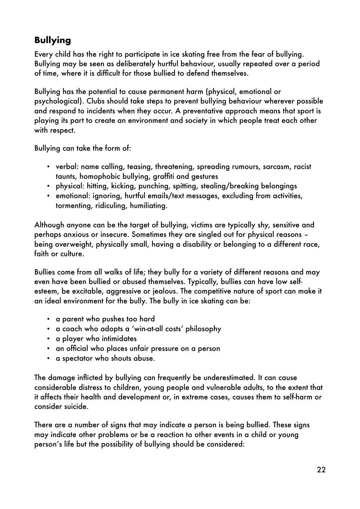# <span id="page-22-0"></span>**Bullying**

Every child has the right to participate in ice skating free from the fear of bullying. Bullying may be seen as deliberately hurtful behaviour, usually repeated over a period of time, where it is difficult for those bullied to defend themselves.

Bullying has the potential to cause permanent harm (physical, emotional or psychological). Clubs should take steps to prevent bullying behaviour wherever possible and respond to incidents when they occur. A preventative approach means that sport is playing its part to create an environment and society in which people treat each other with respect.

Bullying can take the form of:

- verbal: name calling, teasing, threatening, spreading rumours, sarcasm, racist taunts, homophobic bullying, graffiti and gestures
- physical: hitting, kicking, punching, spitting, stealing/breaking belongings
- emotional: ignoring, hurtful emails/text messages, excluding from activities, tormenting, ridiculing, humiliating.

Although anyone can be the target of bullying, victims are typically shy, sensitive and perhaps anxious or insecure. Sometimes they are singled out for physical reasons – being overweight, physically small, having a disability or belonging to a different race, faith or culture.

Bullies come from all walks of life; they bully for a variety of different reasons and may even have been bullied or abused themselves. Typically, bullies can have low selfesteem, be excitable, aggressive or jealous. The competitive nature of sport can make it an ideal environment for the bully. The bully in ice skating can be:

- a parent who pushes too hard
- a coach who adopts a 'win-at-all costs' philosophy
- a player who intimidates
- an official who places unfair pressure on a person
- a spectator who shouts abuse.

The damage inflicted by bullying can frequently be underestimated. It can cause considerable distress to children, young people and vulnerable adults, to the extent that it affects their health and development or, in extreme cases, causes them to self-harm or consider suicide.

There are a number of signs that may indicate a person is being bullied. These signs may indicate other problems or be a reaction to other events in a child or young person's life but the possibility of bullying should be considered: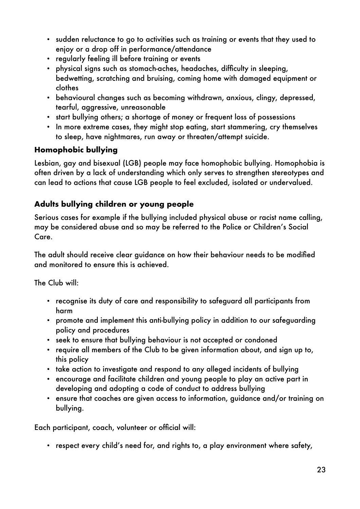- sudden reluctance to go to activities such as training or events that they used to enjoy or a drop off in performance/attendance
- regularly feeling ill before training or events
- physical signs such as stomach-aches, headaches, difficulty in sleeping, bedwetting, scratching and bruising, coming home with damaged equipment or clothes
- behavioural changes such as becoming withdrawn, anxious, clingy, depressed, tearful, aggressive, unreasonable
- start bullying others; a shortage of money or frequent loss of possessions
- In more extreme cases, they might stop eating, start stammering, cry themselves to sleep, have nightmares, run away or threaten/attempt suicide.

#### **Homophobic bullying**

Lesbian, gay and bisexual (LGB) people may face homophobic bullying. Homophobia is often driven by a lack of understanding which only serves to strengthen stereotypes and can lead to actions that cause LGB people to feel excluded, isolated or undervalued.

#### **Adults bullying children or young people**

Serious cases for example if the bullying included physical abuse or racist name calling, may be considered abuse and so may be referred to the Police or Children's Social Care.

The adult should receive clear guidance on how their behaviour needs to be modified and monitored to ensure this is achieved.

The Club will:

- recognise its duty of care and responsibility to safeguard all participants from harm
- promote and implement this anti-bullying policy in addition to our safeguarding policy and procedures
- seek to ensure that bullying behaviour is not accepted or condoned
- require all members of the Club to be given information about, and sign up to, this policy
- take action to investigate and respond to any alleged incidents of bullying
- encourage and facilitate children and young people to play an active part in developing and adopting a code of conduct to address bullying
- ensure that coaches are given access to information, guidance and/or training on bullying.

Each participant, coach, volunteer or official will:

• respect every child's need for, and rights to, a play environment where safety,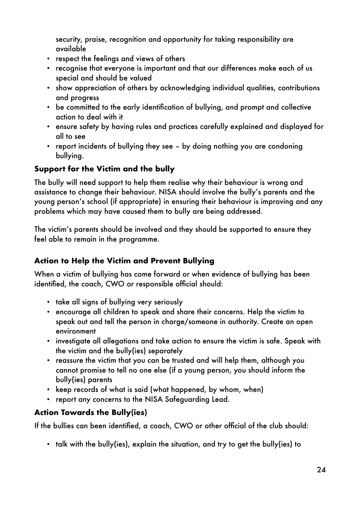security, praise, recognition and opportunity for taking responsibility are available

- respect the feelings and views of others
- recognise that everyone is important and that our differences make each of us special and should be valued
- show appreciation of others by acknowledging individual qualities, contributions and progress
- be committed to the early identification of bullying, and prompt and collective action to deal with it
- ensure safety by having rules and practices carefully explained and displayed for all to see
- report incidents of bullying they see by doing nothing you are condoning bullying.

#### **Support for the Victim and the bully**

The bully will need support to help them realise why their behaviour is wrong and assistance to change their behaviour. NISA should involve the bully's parents and the young person's school (if appropriate) in ensuring their behaviour is improving and any problems which may have caused them to bully are being addressed.

The victim's parents should be involved and they should be supported to ensure they feel able to remain in the programme.

#### **Action to Help the Victim and Prevent Bullying**

When a victim of bullying has come forward or when evidence of bullying has been identified, the coach, CWO or responsible official should:

- take all signs of bullying very seriously
- encourage all children to speak and share their concerns. Help the victim to speak out and tell the person in charge/someone in authority. Create an open environment
- investigate all allegations and take action to ensure the victim is safe. Speak with the victim and the bully(ies) separately
- reassure the victim that you can be trusted and will help them, although you cannot promise to tell no one else (if a young person, you should inform the bully(ies) parents
- keep records of what is said (what happened, by whom, when)
- report any concerns to the NISA Safeguarding Lead.

#### **Action Towards the Bully(ies)**

If the bullies can been identified, a coach, CWO or other official of the club should:

• talk with the bully(ies), explain the situation, and try to get the bully(ies) to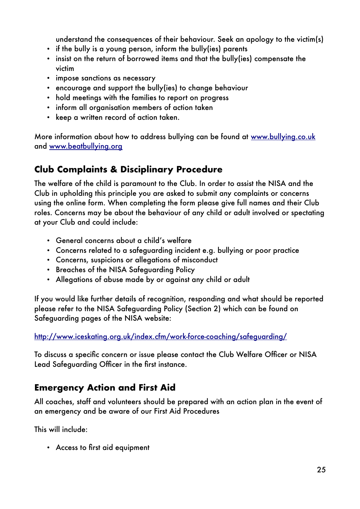understand the consequences of their behaviour. Seek an apology to the victim(s)

- if the bully is a young person, inform the bully(ies) parents
- insist on the return of borrowed items and that the bully(ies) compensate the victim
- impose sanctions as necessary
- encourage and support the bully(ies) to change behaviour
- hold meetings with the families to report on progress
- inform all organisation members of action taken
- keep a written record of action taken.

More information about how to address bullying can be found at [www.bullying.co.uk](file:///Users/Paul/Projects/Basingstoke%20Synchro/www.bullying.co.uk) and [www.beatbullying.org](file:///Users/Paul/Projects/Basingstoke%20Synchro/www.beatbullying.org)

# <span id="page-25-0"></span>**Club Complaints & Disciplinary Procedure**

The welfare of the child is paramount to the Club. In order to assist the NISA and the Club in upholding this principle you are asked to submit any complaints or concerns using the online form. When completing the form please give full names and their Club roles. Concerns may be about the behaviour of any child or adult involved or spectating at your Club and could include:

- General concerns about a child's welfare
- Concerns related to a safeguarding incident e.g. bullying or poor practice
- Concerns, suspicions or allegations of misconduct
- Breaches of the NISA Safeguarding Policy
- Allegations of abuse made by or against any child or adult

If you would like further details of recognition, responding and what should be reported please refer to the NISA Safeguarding Policy (Section 2) which can be found on Safeguarding pages of the NISA website:

<http://www.iceskating.org.uk/index.cfm/work-force-coaching/safeguarding/>

To discuss a specific concern or issue please contact the Club Welfare Officer or NISA Lead Safeguarding Officer in the first instance.

# <span id="page-25-1"></span>**Emergency Action and First Aid**

All coaches, staff and volunteers should be prepared with an action plan in the event of an emergency and be aware of our First Aid Procedures

This will include:

• Access to first aid equipment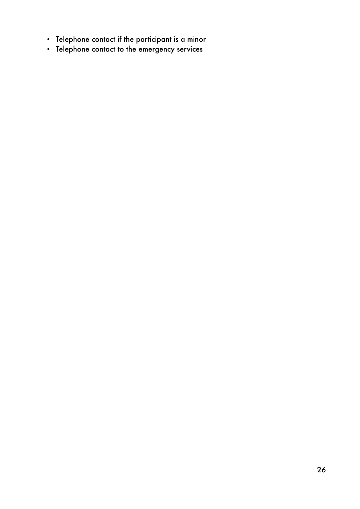- Telephone contact if the participant is a minor
- Telephone contact to the emergency services